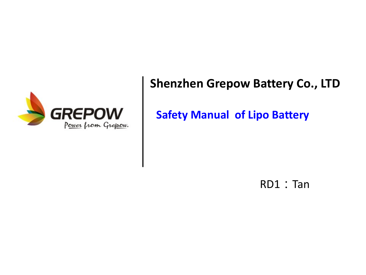

#### **Shenzhen Grepow Battery Co., LTD**

**Safety Manual of Lipo Battery**

RD1: Tan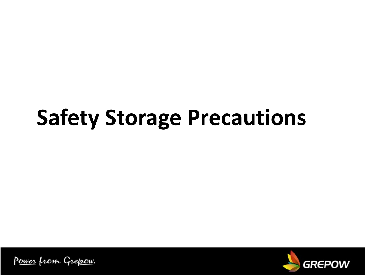# **Safety Storage Precautions**

Power from Grepow.

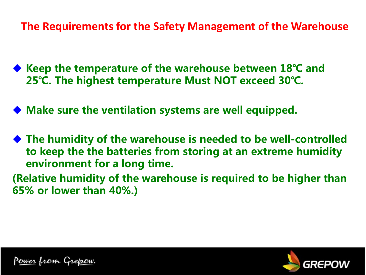**The Requirements for the Safety Management of the Warehouse**

- ◆ Keep the temperature of the warehouse between 18<sup>°</sup>C and **25℃. The highest temperature Must NOT exceed 30℃.**
- Make sure the ventilation systems are well equipped.
- ◆ The humidity of the warehouse is needed to be well-controlled **to keep the the batteries from storing at an extreme humidity environment for a long time.**
- **(Relative humidity of the warehouse is required to be higher than 65% or lower than 40%.)**



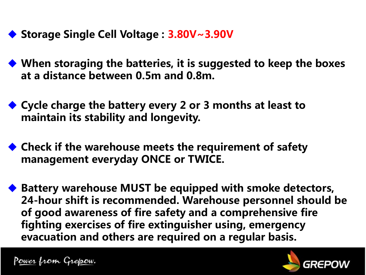- ◆ Storage Single Cell Voltage : 3.80V~3.90V
- ◆ When storaging the batteries, it is suggested to keep the boxes **at a distance between 0.5m and 0.8m.**
- ◆ Cycle charge the battery every 2 or 3 months at least to **maintain its stability and longevity.**
- ◆ Check if the warehouse meets the requirement of safety **management everyday ONCE or TWICE.**
- ◆ Battery warehouse MUST be equipped with smoke detectors, **24-hour shift is recommended. Warehouse personnel should be of good awareness of fire safety and a comprehensive fire fighting exercises of fire extinguisher using, emergency evacuation and others are required on a regular basis.**

Power from Grepow.

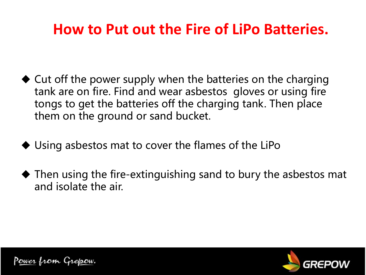### **How to Put out the Fire of LiPo Batteries.**

- $\triangle$  Cut off the power supply when the batteries on the charging tank are on fire. Find and wear asbestos gloves or using fire tongs to get the batteries off the charging tank. Then place them on the ground or sand bucket.
- $\blacklozenge$  Using asbestos mat to cover the flames of the LiPo
- $\blacklozenge$  Then using the fire-extinguishing sand to bury the asbestos mat and isolate the air.

P<u>ower</u> from Gre<u>po</u>w.

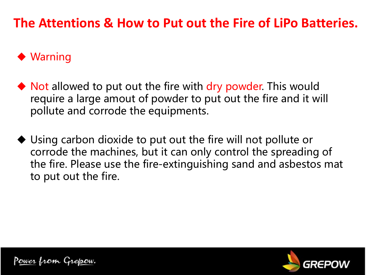#### **The Attentions & How to Put out the Fire of LiPo Batteries.**

#### $\blacklozenge$  Warning

- $\blacklozenge$  Not allowed to put out the fire with dry powder. This would require a large amout of powder to put out the fire and it will pollute and corrode the equipments.
- $\blacklozenge$  Using carbon dioxide to put out the fire will not pollute or corrode the machines, but it can only control the spreading of the fire. Please use the fire-extinguishing sand and asbestos mat to put out the fire.

Power from Grepow.

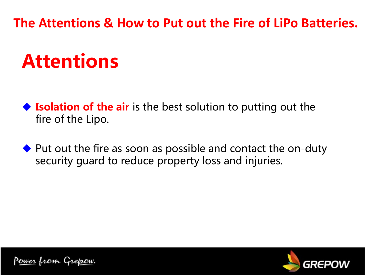**The Attentions & How to Put out the Fire of LiPo Batteries.**

# **Attentions**

◆ **Isolation of the air** is the best solution to putting out the fire of the Lipo.

 $\blacklozenge$  Put out the fire as soon as possible and contact the on-duty security guard to reduce property loss and injuries.

P<u>ower</u> from Gre<u>po</u>w.

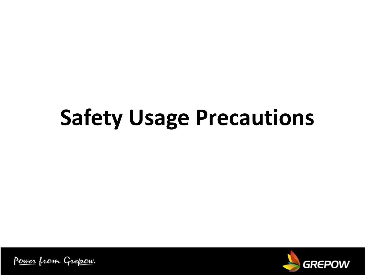# **Safety Usage Precautions**

Power from Grepow.

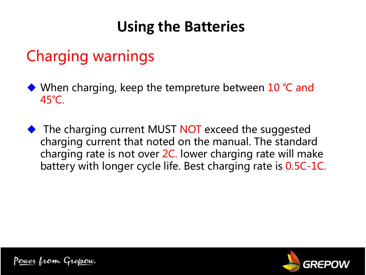### **Using the Batteries**

### Charging warnings

- ◆ When charging, keep the tempreture between 10 °C and 45℃.
- $\blacklozenge$  The charging current MUST NOT exceed the suggested charging current that noted on the manual. The standard charging rate is not over 2C. lower charging rate will make battery with longer cycle life. Best charging rate is 0.5C-1C.

<u>Power from Grepow.</u>

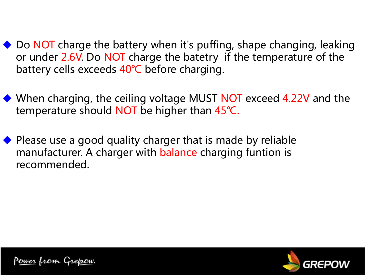- $\rightarrow$  Do NOT charge the battery when it's puffing, shape changing, leaking or under 2.6V. Do NOT charge the batetry if the temperature of the battery cells exceeds 40℃ before charging.
- ◆ When charging, the ceiling voltage MUST NOT exceed 4.22V and the temperature should NOT be higher than 45°C.
- $\blacklozenge$  Please use a good quality charger that is made by reliable manufacturer. A charger with **balance** charging funtion is recommended.

Power from Grepow.

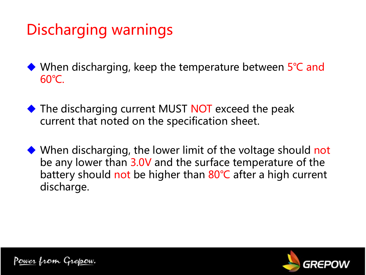## Discharging warnings

◆ When discharging, keep the temperature between 5°C and 60℃.

- $\blacklozenge$  The discharging current MUST NOT exceed the peak current that noted on the specification sheet.
- $\blacklozenge$  When discharging, the lower limit of the voltage should not be any lower than 3.0V and the surface temperature of the battery should not be higher than 80°C after a high current discharge.

<u>Power from Grepow.</u>

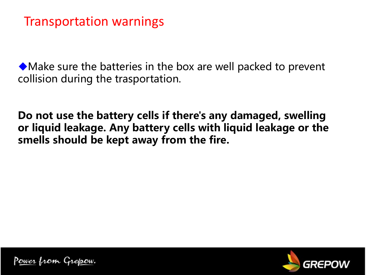#### Transportation warnings

 $\blacklozenge$  Make sure the batteries in the box are well packed to prevent collision during the trasportation.

**Do not use the battery cells if there's any damaged, swelling or liquid leakage. Any battery cells with liquid leakage or the smells should be kept away from the fire.**

Power from Grepow.

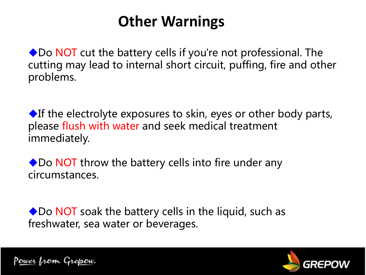### **Other Warnings**

 $\rightarrow$  Do NOT cut the battery cells if you're not professional. The cutting may lead to internal short circuit, puffing, fire and other problems.

 $\blacklozenge$ If the electrolyte exposures to skin, eyes or other body parts, please flush with water and seek medical treatment immediately.

 $\rightarrow$  Do NOT throw the battery cells into fire under any circumstances.

 $\bullet$  Do NOT soak the battery cells in the liquid, such as freshwater, sea water or beverages.

Power from Grepow.

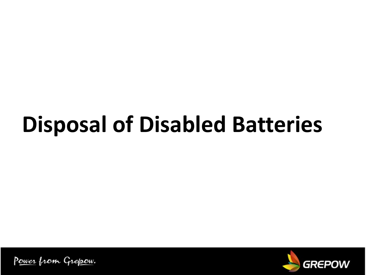# **Disposal of Disabled Batteries**

Power from Grepow.

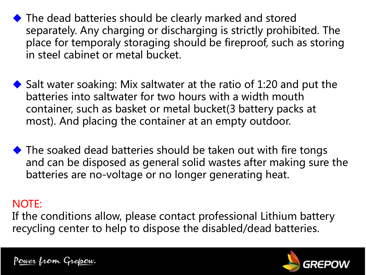$\blacklozenge$  The dead batteries should be clearly marked and stored separately. Any charging or discharging is strictly prohibited. The place for temporaly storaging should be fireproof, such as storing in steel cabinet or metal bucket.

- $\blacklozenge$  Salt water soaking: Mix saltwater at the ratio of 1:20 and put the batteries into saltwater for two hours with a width mouth container, such as basket or metal bucket(3 battery packs at most). And placing the container at an empty outdoor.
- $\blacklozenge$  The soaked dead batteries should be taken out with fire tongs and can be disposed as general solid wastes after making sure the batteries are no-voltage or no longer generating heat.

#### NOTE:

If the conditions allow, please contact professional Lithium battery recycling center to help to dispose the disabled/dead batteries.